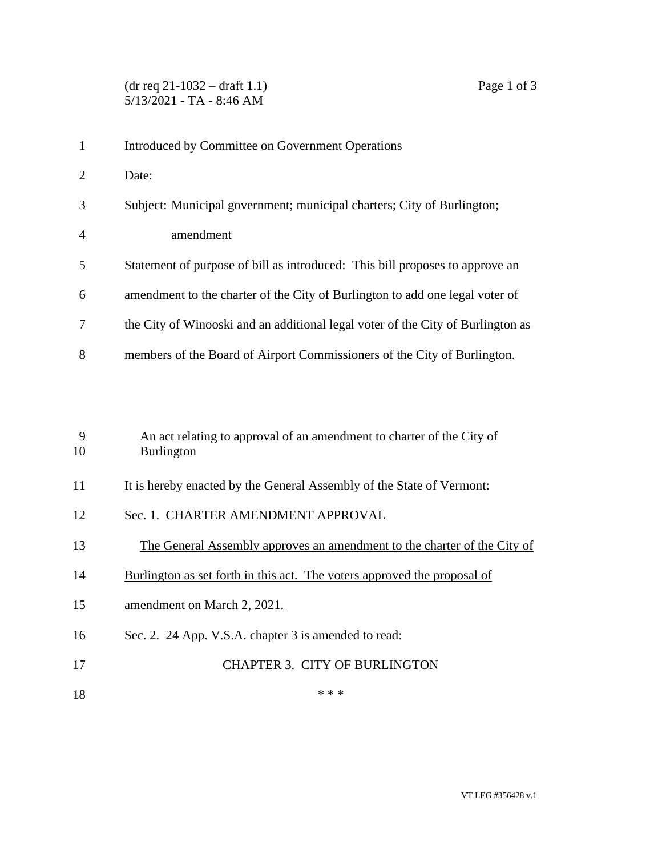| $\mathbf{1}$   | Introduced by Committee on Government Operations                                           |
|----------------|--------------------------------------------------------------------------------------------|
| $\overline{2}$ | Date:                                                                                      |
| 3              | Subject: Municipal government; municipal charters; City of Burlington;                     |
| 4              | amendment                                                                                  |
| 5              | Statement of purpose of bill as introduced: This bill proposes to approve an               |
| 6              | amendment to the charter of the City of Burlington to add one legal voter of               |
| 7              | the City of Winooski and an additional legal voter of the City of Burlington as            |
| 8              | members of the Board of Airport Commissioners of the City of Burlington.                   |
|                |                                                                                            |
| 9<br>10        | An act relating to approval of an amendment to charter of the City of<br><b>Burlington</b> |
| 11             | It is hereby enacted by the General Assembly of the State of Vermont:                      |
| 12             | Sec. 1. CHARTER AMENDMENT APPROVAL                                                         |
| 13             | The General Assembly approves an amendment to the charter of the City of                   |
| 14             | Burlington as set forth in this act. The voters approved the proposal of                   |
| 15             | amendment on March 2, 2021.                                                                |
| 16             | Sec. 2. 24 App. V.S.A. chapter 3 is amended to read:                                       |
| 17             | <b>CHAPTER 3. CITY OF BURLINGTON</b>                                                       |
|                |                                                                                            |

\*\*\*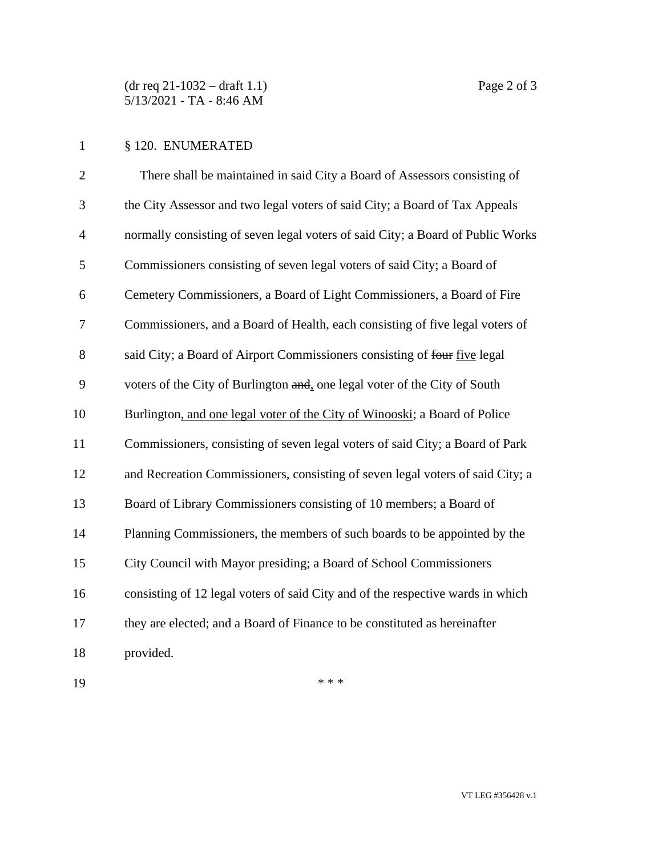(dr req 21-1032 – draft 1.1) Page 2 of 3 5/13/2021 - TA - 8:46 AM

## § 120. ENUMERATED

| $\mathbf{2}$   | There shall be maintained in said City a Board of Assessors consisting of       |
|----------------|---------------------------------------------------------------------------------|
| 3              | the City Assessor and two legal voters of said City; a Board of Tax Appeals     |
| $\overline{4}$ | normally consisting of seven legal voters of said City; a Board of Public Works |
| 5              | Commissioners consisting of seven legal voters of said City; a Board of         |
| 6              | Cemetery Commissioners, a Board of Light Commissioners, a Board of Fire         |
| 7              | Commissioners, and a Board of Health, each consisting of five legal voters of   |
| 8              | said City; a Board of Airport Commissioners consisting of four five legal       |
| 9              | voters of the City of Burlington and, one legal voter of the City of South      |
| 10             | Burlington, and one legal voter of the City of Winooski; a Board of Police      |
| 11             | Commissioners, consisting of seven legal voters of said City; a Board of Park   |
| 12             | and Recreation Commissioners, consisting of seven legal voters of said City; a  |
| 13             | Board of Library Commissioners consisting of 10 members; a Board of             |
| 14             | Planning Commissioners, the members of such boards to be appointed by the       |
| 15             | City Council with Mayor presiding; a Board of School Commissioners              |
| 16             | consisting of 12 legal voters of said City and of the respective wards in which |
| 17             | they are elected; and a Board of Finance to be constituted as hereinafter       |
| 18             | provided.                                                                       |
|                |                                                                                 |

\*\*\*